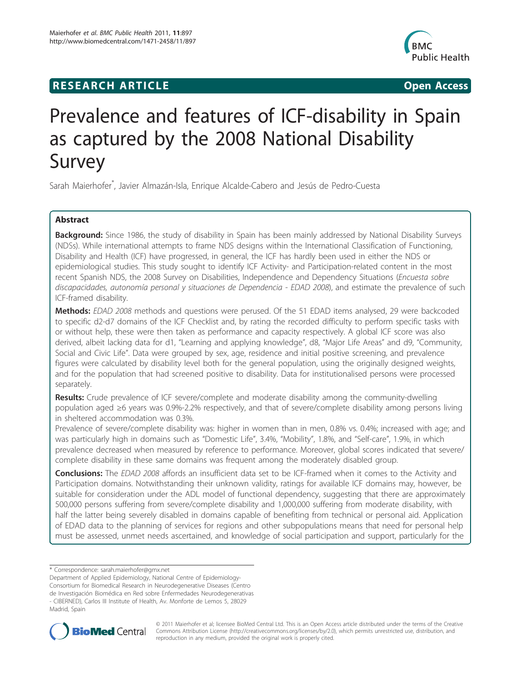# **RESEARCH ARTICLE Example 2018 CONSIDERING ACCESS**



# Prevalence and features of ICF-disability in Spain as captured by the 2008 National Disability Survey

Sarah Maierhofer\* , Javier Almazán-Isla, Enrique Alcalde-Cabero and Jesús de Pedro-Cuesta

# Abstract

Background: Since 1986, the study of disability in Spain has been mainly addressed by National Disability Surveys (NDSs). While international attempts to frame NDS designs within the International Classification of Functioning, Disability and Health (ICF) have progressed, in general, the ICF has hardly been used in either the NDS or epidemiological studies. This study sought to identify ICF Activity- and Participation-related content in the most recent Spanish NDS, the 2008 Survey on Disabilities, Independence and Dependency Situations (*Encuesta sobre*) discapacidades, autonomía personal y situaciones de Dependencia - EDAD 2008), and estimate the prevalence of such ICF-framed disability.

Methods: EDAD 2008 methods and questions were perused. Of the 51 EDAD items analysed, 29 were backcoded to specific d2-d7 domains of the ICF Checklist and, by rating the recorded difficulty to perform specific tasks with or without help, these were then taken as performance and capacity respectively. A global ICF score was also derived, albeit lacking data for d1, "Learning and applying knowledge", d8, "Major Life Areas" and d9, "Community, Social and Civic Life". Data were grouped by sex, age, residence and initial positive screening, and prevalence figures were calculated by disability level both for the general population, using the originally designed weights, and for the population that had screened positive to disability. Data for institutionalised persons were processed separately.

**Results:** Crude prevalence of ICF severe/complete and moderate disability among the community-dwelling population aged ≥6 years was 0.9%-2.2% respectively, and that of severe/complete disability among persons living in sheltered accommodation was 0.3%.

Prevalence of severe/complete disability was: higher in women than in men, 0.8% vs. 0.4%; increased with age; and was particularly high in domains such as "Domestic Life", 3.4%, "Mobility", 1.8%, and "Self-care", 1.9%, in which prevalence decreased when measured by reference to performance. Moreover, global scores indicated that severe/ complete disability in these same domains was frequent among the moderately disabled group.

Conclusions: The EDAD 2008 affords an insufficient data set to be ICF-framed when it comes to the Activity and Participation domains. Notwithstanding their unknown validity, ratings for available ICF domains may, however, be suitable for consideration under the ADL model of functional dependency, suggesting that there are approximately 500,000 persons suffering from severe/complete disability and 1,000,000 suffering from moderate disability, with half the latter being severely disabled in domains capable of benefiting from technical or personal aid. Application of EDAD data to the planning of services for regions and other subpopulations means that need for personal help must be assessed, unmet needs ascertained, and knowledge of social participation and support, particularly for the

Department of Applied Epidemiology, National Centre of Epidemiology-

Consortium for Biomedical Research in Neurodegenerative Diseases (Centro

de Investigación Biomédica en Red sobre Enfermedades Neurodegenerativas - CIBERNED), Carlos III Institute of Health, Av. Monforte de Lemos 5, 28029

Madrid, Spain



© 2011 Maierhofer et al; licensee BioMed Central Ltd. This is an Open Access article distributed under the terms of the Creative Commons Attribution License [\(http://creativecommons.org/licenses/by/2.0](http://creativecommons.org/licenses/by/2.0)), which permits unrestricted use, distribution, and reproduction in any medium, provided the original work is properly cited.

<sup>\*</sup> Correspondence: [sarah.maierhofer@gmx.net](mailto:sarah.maierhofer@gmx.net)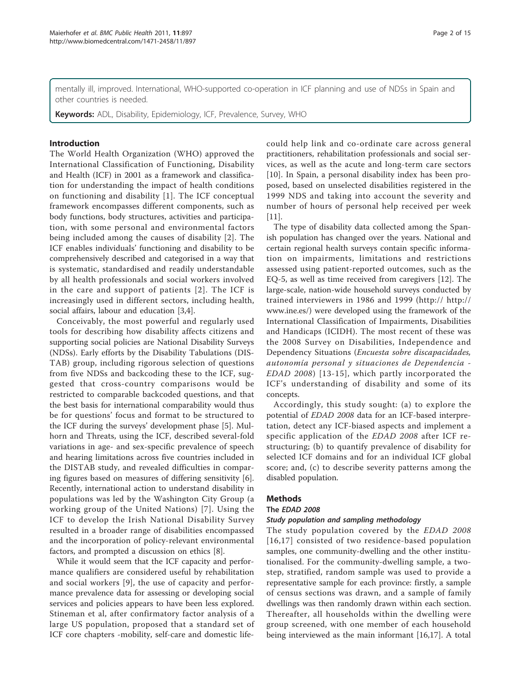mentally ill, improved. International, WHO-supported co-operation in ICF planning and use of NDSs in Spain and other countries is needed.

Keywords: ADL, Disability, Epidemiology, ICF, Prevalence, Survey, WHO

# Introduction

The World Health Organization (WHO) approved the International Classification of Functioning, Disability and Health (ICF) in 2001 as a framework and classification for understanding the impact of health conditions on functioning and disability [[1\]](#page-13-0). The ICF conceptual framework encompasses different components, such as body functions, body structures, activities and participation, with some personal and environmental factors being included among the causes of disability [[2\]](#page-13-0). The ICF enables individuals' functioning and disability to be comprehensively described and categorised in a way that is systematic, standardised and readily understandable by all health professionals and social workers involved in the care and support of patients [[2](#page-13-0)]. The ICF is increasingly used in different sectors, including health, social affairs, labour and education [\[3,4\]](#page-13-0).

Conceivably, the most powerful and regularly used tools for describing how disability affects citizens and supporting social policies are National Disability Surveys (NDSs). Early efforts by the Disability Tabulations (DIS-TAB) group, including rigorous selection of questions from five NDSs and backcoding these to the ICF, suggested that cross-country comparisons would be restricted to comparable backcoded questions, and that the best basis for international comparability would thus be for questions' focus and format to be structured to the ICF during the surveys' development phase [[5\]](#page-13-0). Mulhorn and Threats, using the ICF, described several-fold variations in age- and sex-specific prevalence of speech and hearing limitations across five countries included in the DISTAB study, and revealed difficulties in comparing figures based on measures of differing sensitivity [\[6](#page-13-0)]. Recently, international action to understand disability in populations was led by the Washington City Group (a working group of the United Nations) [[7\]](#page-13-0). Using the ICF to develop the Irish National Disability Survey resulted in a broader range of disabilities encompassed and the incorporation of policy-relevant environmental factors, and prompted a discussion on ethics [[8\]](#page-13-0).

While it would seem that the ICF capacity and performance qualifiers are considered useful by rehabilitation and social workers [[9\]](#page-13-0), the use of capacity and performance prevalence data for assessing or developing social services and policies appears to have been less explored. Stineman et al, after confirmatory factor analysis of a large US population, proposed that a standard set of ICF core chapters -mobility, self-care and domestic lifecould help link and co-ordinate care across general practitioners, rehabilitation professionals and social services, as well as the acute and long-term care sectors [[10\]](#page-13-0). In Spain, a personal disability index has been proposed, based on unselected disabilities registered in the 1999 NDS and taking into account the severity and number of hours of personal help received per week  $[11]$  $[11]$ .

The type of disability data collected among the Spanish population has changed over the years. National and certain regional health surveys contain specific information on impairments, limitations and restrictions assessed using patient-reported outcomes, such as the EQ-5, as well as time received from caregivers [[12\]](#page-13-0). The large-scale, nation-wide household surveys conducted by trained interviewers in 1986 and 1999 ([http:// http://](http:// http://www.ine.es/) [www.ine.es/](http:// http://www.ine.es/)) were developed using the framework of the International Classification of Impairments, Disabilities and Handicaps (ICIDH). The most recent of these was the 2008 Survey on Disabilities, Independence and Dependency Situations (Encuesta sobre discapacidades, autonomía personal y situaciones de Dependencia - EDAD 2008) [[13](#page-13-0)-[15\]](#page-13-0), which partly incorporated the ICF's understanding of disability and some of its concepts.

Accordingly, this study sought: (a) to explore the potential of EDAD 2008 data for an ICF-based interpretation, detect any ICF-biased aspects and implement a specific application of the EDAD 2008 after ICF restructuring; (b) to quantify prevalence of disability for selected ICF domains and for an individual ICF global score; and, (c) to describe severity patterns among the disabled population.

# Methods

# The EDAD 2008

# Study population and sampling methodology

The study population covered by the EDAD 2008 [[16,17](#page-13-0)] consisted of two residence-based population samples, one community-dwelling and the other institutionalised. For the community-dwelling sample, a twostep, stratified, random sample was used to provide a representative sample for each province: firstly, a sample of census sections was drawn, and a sample of family dwellings was then randomly drawn within each section. Thereafter, all households within the dwelling were group screened, with one member of each household being interviewed as the main informant [[16,17](#page-13-0)]. A total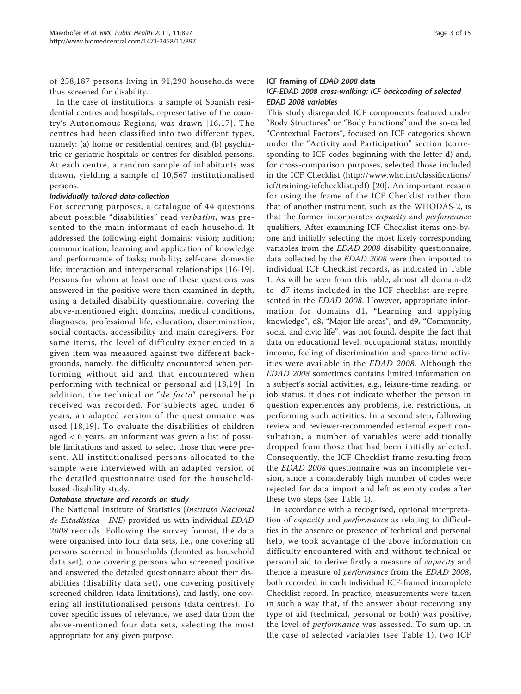of 258,187 persons living in 91,290 households were thus screened for disability.

In the case of institutions, a sample of Spanish residential centres and hospitals, representative of the country's Autonomous Regions, was drawn [[16,17](#page-13-0)]. The centres had been classified into two different types, namely: (a) home or residential centres; and (b) psychiatric or geriatric hospitals or centres for disabled persons. At each centre, a random sample of inhabitants was drawn, yielding a sample of 10,567 institutionalised persons.

# Individually tailored data-collection

For screening purposes, a catalogue of 44 questions about possible "disabilities" read verbatim, was presented to the main informant of each household. It addressed the following eight domains: vision; audition; communication; learning and application of knowledge and performance of tasks; mobility; self-care; domestic life; interaction and interpersonal relationships [\[16](#page-13-0)-[19](#page-14-0)]. Persons for whom at least one of these questions was answered in the positive were then examined in depth, using a detailed disability questionnaire, covering the above-mentioned eight domains, medical conditions, diagnoses, professional life, education, discrimination, social contacts, accessibility and main caregivers. For some items, the level of difficulty experienced in a given item was measured against two different backgrounds, namely, the difficulty encountered when performing without aid and that encountered when performing with technical or personal aid [[18](#page-13-0),[19](#page-14-0)]. In addition, the technical or "*de facto*" personal help received was recorded. For subjects aged under 6 years, an adapted version of the questionnaire was used [[18,](#page-13-0)[19\]](#page-14-0). To evaluate the disabilities of children aged < 6 years, an informant was given a list of possible limitations and asked to select those that were present. All institutionalised persons allocated to the sample were interviewed with an adapted version of the detailed questionnaire used for the householdbased disability study.

# Database structure and records on study

The National Institute of Statistics (Instituto Nacional de Estadística - INE) provided us with individual EDAD 2008 records. Following the survey format, the data were organised into four data sets, i.e., one covering all persons screened in households (denoted as household data set), one covering persons who screened positive and answered the detailed questionnaire about their disabilities (disability data set), one covering positively screened children (data limitations), and lastly, one covering all institutionalised persons (data centres). To cover specific issues of relevance, we used data from the above-mentioned four data sets, selecting the most appropriate for any given purpose.

# ICF framing of EDAD 2008 data

# ICF-EDAD 2008 cross-walking; ICF backcoding of selected EDAD 2008 variables

This study disregarded ICF components featured under "Body Structures" or "Body Functions" and the so-called "Contextual Factors", focused on ICF categories shown under the "Activity and Participation" section (corresponding to ICF codes beginning with the letter d) and, for cross-comparison purposes, selected those included in the ICF Checklist [\(http://www.who.int/classifications/](http://www.who.int/classifications/icf/training/icfchecklist.pdf) [icf/training/icfchecklist.pdf](http://www.who.int/classifications/icf/training/icfchecklist.pdf)) [[20\]](#page-14-0). An important reason for using the frame of the ICF Checklist rather than that of another instrument, such as the WHODAS-2, is that the former incorporates capacity and performance qualifiers. After examining ICF Checklist items one-byone and initially selecting the most likely corresponding variables from the EDAD 2008 disability questionnaire, data collected by the EDAD 2008 were then imported to individual ICF Checklist records, as indicated in Table [1.](#page-3-0) As will be seen from this table, almost all domain-d2 to -d7 items included in the ICF checklist are represented in the EDAD 2008. However, appropriate information for domains d1, "Learning and applying knowledge", d8, "Major life areas", and d9, "Community, social and civic life", was not found, despite the fact that data on educational level, occupational status, monthly income, feeling of discrimination and spare-time activities were available in the EDAD 2008. Although the EDAD 2008 sometimes contains limited information on a subject's social activities, e.g., leisure-time reading, or job status, it does not indicate whether the person in question experiences any problems, i.e. restrictions, in performing such activities. In a second step, following review and reviewer-recommended external expert consultation, a number of variables were additionally dropped from those that had been initially selected. Consequently, the ICF Checklist frame resulting from the EDAD 2008 questionnaire was an incomplete version, since a considerably high number of codes were rejected for data import and left as empty codes after these two steps (see Table [1\)](#page-3-0).

In accordance with a recognised, optional interpretation of capacity and performance as relating to difficulties in the absence or presence of technical and personal help, we took advantage of the above information on difficulty encountered with and without technical or personal aid to derive firstly a measure of capacity and thence a measure of performance from the EDAD 2008, both recorded in each individual ICF-framed incomplete Checklist record. In practice, measurements were taken in such a way that, if the answer about receiving any type of aid (technical, personal or both) was positive, the level of performance was assessed. To sum up, in the case of selected variables (see Table [1](#page-3-0)), two ICF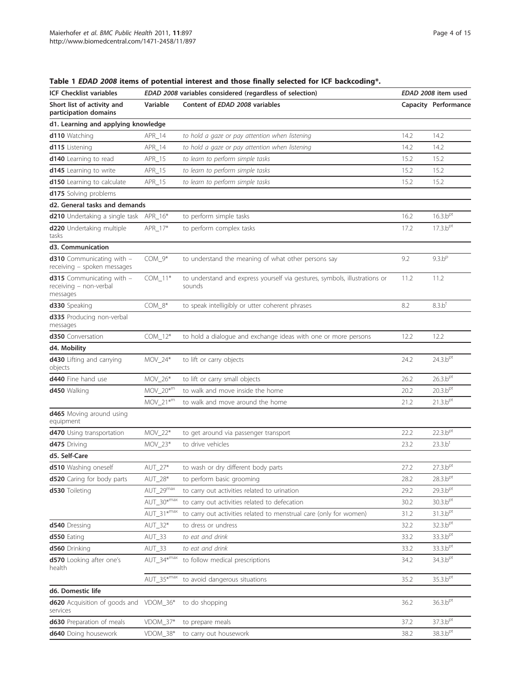| <b>ICF Checklist variables</b>                                         | EDAD 2008 variables considered (regardless of selection) | EDAD 2008 item used                                                                  |      |                              |
|------------------------------------------------------------------------|----------------------------------------------------------|--------------------------------------------------------------------------------------|------|------------------------------|
| Short list of activity and<br>participation domains                    | Variable                                                 | Content of EDAD 2008 variables                                                       |      | Capacity Performance         |
| d1. Learning and applying knowledge                                    |                                                          |                                                                                      |      |                              |
| <b>d110</b> Watching                                                   | APR_14                                                   | to hold a gaze or pay attention when listening                                       | 14.2 | 14.2                         |
| d115 Listening                                                         | APR_14                                                   | to hold a gaze or pay attention when listening                                       | 14.2 | 14.2                         |
| <b>d140</b> Learning to read                                           | APR_15                                                   | to learn to perform simple tasks                                                     | 15.2 | 15.2                         |
| <b>d145</b> Learning to write                                          | APR_15                                                   | to learn to perform simple tasks                                                     | 15.2 | 15.2                         |
| <b>d150</b> Learning to calculate                                      | APR_15                                                   | to learn to perform simple tasks                                                     | 15.2 | 15.2                         |
| d175 Solving problems                                                  |                                                          |                                                                                      |      |                              |
| d2. General tasks and demands                                          |                                                          |                                                                                      |      |                              |
| d210 Undertaking a single task                                         | APR_16*                                                  | to perform simple tasks                                                              | 16.2 | 16.3.b <sup>pt</sup>         |
| d220 Undertaking multiple<br>tasks                                     | APR_17*                                                  | to perform complex tasks                                                             | 17.2 | $17.3 \text{ b}^{\text{pt}}$ |
| d3. Communication                                                      |                                                          |                                                                                      |      |                              |
| <b>d310</b> Communicating with -<br>receiving - spoken messages        | $COM_9*$                                                 | to understand the meaning of what other persons say                                  | 9.2  | 9.3.b <sup>p</sup>           |
| <b>d315</b> Communicating with -<br>receiving - non-verbal<br>messages | $COM_11*$                                                | to understand and express yourself via gestures, symbols, illustrations or<br>sounds | 11.2 | 11.2                         |
| d330 Speaking                                                          | $COM_8*$                                                 | to speak intelligibly or utter coherent phrases                                      | 8.2  | 8.3.b <sup>t</sup>           |
| d335 Producing non-verbal<br>messages                                  |                                                          |                                                                                      |      |                              |
| d350 Conversation                                                      | $COM_12*$                                                | to hold a dialogue and exchange ideas with one or more persons                       | 12.2 | 12.2                         |
| d4. Mobility                                                           |                                                          |                                                                                      |      |                              |
| d430 Lifting and carrying<br>objects                                   | $MOV_24*$                                                | to lift or carry objects                                                             | 24.2 | 24.3.b <sup>pt</sup>         |
| <b>d440</b> Fine hand use                                              | MOV_26*                                                  | to lift or carry small objects                                                       | 26.2 | 26.3.b <sup>pt</sup>         |
| d450 Walking                                                           | $MOV_20^{*m}$                                            | to walk and move inside the home                                                     | 20.2 | 20.3.b <sup>pt</sup>         |
|                                                                        | $MOV_21*m$                                               | to walk and move around the home                                                     | 21.2 | 21.3.b <sup>pt</sup>         |
| d465 Moving around using<br>equipment                                  |                                                          |                                                                                      |      |                              |
| d470 Using transportation                                              | MOV_22*                                                  | to get around via passenger transport                                                | 22.2 | 22.3.b <sup>pt</sup>         |
| <b>d475</b> Driving                                                    | $MOV_23*$                                                | to drive vehicles                                                                    | 23.2 | 23.3.b <sup>t</sup>          |
| d5. Self-Care                                                          |                                                          |                                                                                      |      |                              |
| d510 Washing oneself                                                   | AUT_27*                                                  | to wash or dry different body parts                                                  | 27.2 | 27.3.b <sup>pt</sup>         |
| d520 Caring for body parts                                             | $AUT_28*$                                                | to perform basic grooming                                                            | 28.2 | 28.3.b <sup>pt</sup>         |
| <b>d530</b> Toileting                                                  | $AUT_29^{max}$                                           | to carry out activities related to urination                                         | 29.2 | 29.3.b <sup>pt</sup>         |
|                                                                        | $AUT_30*^{max}$                                          | to carry out activities related to defecation                                        | 30.2 | 30.3.b <sup>pt</sup>         |
|                                                                        | $AUT_31$ *max                                            | to carry out activities related to menstrual care (only for women)                   | 31.2 | 31.3.b <sup>pt</sup>         |
| d540 Dressing                                                          | AUT_32*                                                  | to dress or undress                                                                  | 32.2 | 32.3.b <sup>pt</sup>         |
| d550 Eating                                                            | $AUT_33$                                                 | to eat and drink                                                                     | 33.2 | 33.3.b <sup>pt</sup>         |
| d560 Drinking                                                          | $AUT_33$                                                 | to eat and drink                                                                     | 33.2 | 33.3.b <sup>pt</sup>         |
| d570 Looking after one's<br>health                                     | $AUT_34*^{max}$                                          | to follow medical prescriptions                                                      | 34.2 | 34.3.b <sup>pt</sup>         |
|                                                                        | $AUT 35*^{max}$                                          | to avoid dangerous situations                                                        | 35.2 | 35.3.b <sup>pt</sup>         |
| d6. Domestic life                                                      |                                                          |                                                                                      |      |                              |
| d620 Acquisition of goods and VDOM_36*<br>services                     |                                                          | to do shopping                                                                       | 36.2 | 36.3.b <sup>pt</sup>         |
| d630 Preparation of meals                                              | VDOM_37*                                                 | to prepare meals                                                                     | 37.2 | 37.3.b <sup>pt</sup>         |
| d640 Doing housework                                                   | VDOM_38*                                                 | to carry out housework                                                               | 38.2 | 38.3.b <sup>pt</sup>         |

<span id="page-3-0"></span>Table 1 EDAD 2008 items of potential interest and those finally selected for ICF backcoding\*.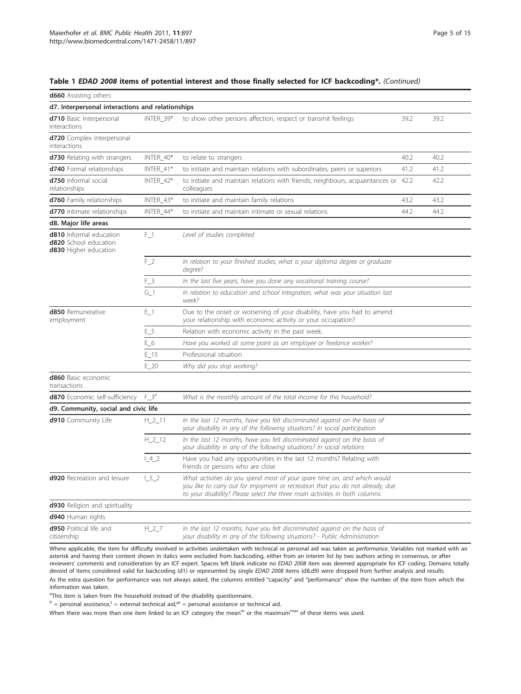|  |  |  |  |  | Table 1 EDAD 2008 items of potential interest and those finally selected for ICF backcoding*. (Continued) |
|--|--|--|--|--|-----------------------------------------------------------------------------------------------------------|
|--|--|--|--|--|-----------------------------------------------------------------------------------------------------------|

| <b>d660</b> Assisting others                                                            |                     |                                                                                                                                                                                                                                            |      |      |  |  |  |  |
|-----------------------------------------------------------------------------------------|---------------------|--------------------------------------------------------------------------------------------------------------------------------------------------------------------------------------------------------------------------------------------|------|------|--|--|--|--|
| d7. Interpersonal interactions and relationships                                        |                     |                                                                                                                                                                                                                                            |      |      |  |  |  |  |
| d710 Basic interpersonal<br>interactions                                                | 39.2                | 39.2                                                                                                                                                                                                                                       |      |      |  |  |  |  |
| d720 Complex interpersonal<br>interactions                                              |                     |                                                                                                                                                                                                                                            |      |      |  |  |  |  |
| <b>d730</b> Relating with strangers                                                     | INTER_40*           | to relate to strangers                                                                                                                                                                                                                     | 40.2 | 40.2 |  |  |  |  |
| d740 Formal relationships                                                               | INTER_41*           | to initiate and maintain relations with subordinates, peers or superiors                                                                                                                                                                   | 41.2 | 41.2 |  |  |  |  |
| d750 Informal social<br>relationships                                                   | INTER_42*           | to initiate and maintain relations with friends, neighbours, acquaintances or 42.2<br>colleagues                                                                                                                                           |      | 42.2 |  |  |  |  |
| <b>d760</b> Family relationships                                                        | INTER_43*           | to initiate and maintain family relations                                                                                                                                                                                                  | 43.2 | 43.2 |  |  |  |  |
| d770 Intimate relationships                                                             | INTER_44*           | to initiate and maintain intimate or sexual relations                                                                                                                                                                                      | 44.2 | 44.2 |  |  |  |  |
| d8. Major life areas                                                                    |                     |                                                                                                                                                                                                                                            |      |      |  |  |  |  |
| <b>d810</b> Informal education<br>d820 School education<br><b>d830</b> Higher education | $F_1$               | Level of studies completed                                                                                                                                                                                                                 |      |      |  |  |  |  |
|                                                                                         | $F_2$               | In relation to your finished studies, what is your diploma degree or graduate<br>degree?                                                                                                                                                   |      |      |  |  |  |  |
|                                                                                         | $F_3$               | In the last five years, have you done any vocational training course?                                                                                                                                                                      |      |      |  |  |  |  |
|                                                                                         |                     | In relation to education and school integration, what was your situation last<br>week?                                                                                                                                                     |      |      |  |  |  |  |
| <b>d850</b> Remunerative<br>employment                                                  | E <sub>1</sub>      | Due to the onset or worsening of your disability, have you had to amend<br>your relationship with economic activity or your occupation?                                                                                                    |      |      |  |  |  |  |
|                                                                                         | E 5                 | Relation with economic activity in the past week.                                                                                                                                                                                          |      |      |  |  |  |  |
|                                                                                         | E 6                 | Have you worked at some point as an employee or freelance worker?                                                                                                                                                                          |      |      |  |  |  |  |
|                                                                                         | $E_{15}$            | Professional situation                                                                                                                                                                                                                     |      |      |  |  |  |  |
|                                                                                         | $E_2$               | Why did you stop working?                                                                                                                                                                                                                  |      |      |  |  |  |  |
| d860 Basic economic<br>transactions                                                     |                     |                                                                                                                                                                                                                                            |      |      |  |  |  |  |
| d870 Economic self-sufficiency                                                          | $F_3^a$             | What is the monthly amount of the total income for this household?                                                                                                                                                                         |      |      |  |  |  |  |
| d9. Community, social and civic life                                                    |                     |                                                                                                                                                                                                                                            |      |      |  |  |  |  |
| <b>d910</b> Community Life                                                              | $H_2$ 11            | In the last 12 months, have you felt discriminated against on the basis of<br>your disability in any of the following situations? In social participation                                                                                  |      |      |  |  |  |  |
|                                                                                         | $H_212$             | In the last 12 months, have you felt discriminated against on the basis of<br>your disability in any of the following situations? In social relations                                                                                      |      |      |  |  |  |  |
|                                                                                         | $\lfloor 4 \rfloor$ | Have you had any opportunities in the last 12 months? Relating with<br>friends or persons who are close                                                                                                                                    |      |      |  |  |  |  |
| d920 Recreation and leisure                                                             | $L5-2$              | What activities do you spend most of your spare time on, and which would<br>you like to carry out for enjoyment or recreation that you do not already, due<br>to your disability? Please select the three main activities in both columns. |      |      |  |  |  |  |
| d930 Religion and spirituality                                                          |                     |                                                                                                                                                                                                                                            |      |      |  |  |  |  |
| d940 Human rights                                                                       |                     |                                                                                                                                                                                                                                            |      |      |  |  |  |  |
| d950 Political life and<br>citizenship                                                  | $H_27$              | In the last 12 months, have you felt discriminated against on the basis of<br>your disability in any of the following situations? - Public Administration                                                                                  |      |      |  |  |  |  |

Where applicable, the item for difficulty involved in activities undertaken with technical or personal aid was taken as *performance*. Variables not marked with an asterisk and having their content shown in italics were excluded from backcoding, either from an interim list by two authors acting in consensus, or after reviewers' comments and consideration by an ICF expert. Spaces left blank indicate no EDAD 2008 item was deemed appropriate for ICF coding. Domains totally devoid of items considered valid for backcoding (d1) or represented by single EDAD 2008 items (d8,d9) were dropped from further analysis and results As the extra question for performance was not always asked, the columns entitled "capacity" and "performance" show the number of the item from which the information was taken.

<sup>a</sup>This item is taken from the household instead of the disability questionnaire.

 $P =$  personal assistance,<sup>t</sup> = external technical aid,<sup>pt</sup> = personal assistance or technical aid.

When there was more than one item linked to an ICF category the mean<sup>m</sup> or the maximum<sup>max</sup> of these items was used.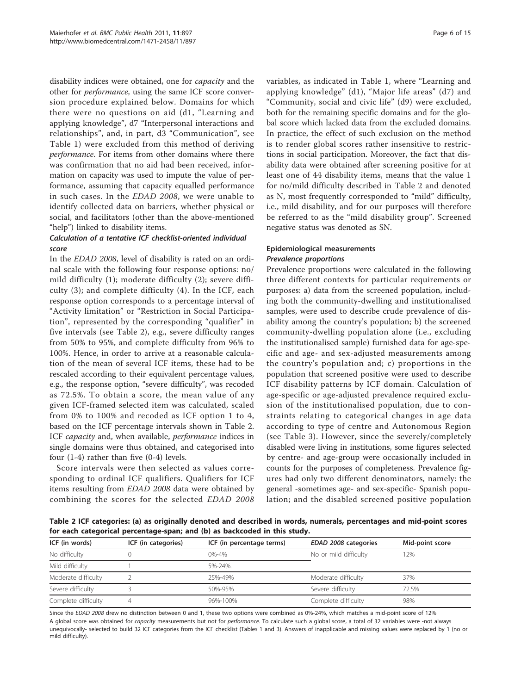disability indices were obtained, one for capacity and the other for performance, using the same ICF score conversion procedure explained below. Domains for which there were no questions on aid (d1, "Learning and applying knowledge", d7 "Interpersonal interactions and relationships", and, in part, d3 "Communication", see Table [1\)](#page-3-0) were excluded from this method of deriving performance. For items from other domains where there was confirmation that no aid had been received, information on capacity was used to impute the value of performance, assuming that capacity equalled performance in such cases. In the EDAD 2008, we were unable to identify collected data on barriers, whether physical or social, and facilitators (other than the above-mentioned "help") linked to disability items.

# Calculation of a tentative ICF checklist-oriented individual score

In the EDAD 2008, level of disability is rated on an ordinal scale with the following four response options: no/ mild difficulty (1); moderate difficulty (2); severe difficulty (3); and complete difficulty (4). In the ICF, each response option corresponds to a percentage interval of "Activity limitation" or "Restriction in Social Participation", represented by the corresponding "qualifier" in five intervals (see Table 2), e.g., severe difficulty ranges from 50% to 95%, and complete difficulty from 96% to 100%. Hence, in order to arrive at a reasonable calculation of the mean of several ICF items, these had to be rescaled according to their equivalent percentage values, e.g., the response option, "severe difficulty", was recoded as 72.5%. To obtain a score, the mean value of any given ICF-framed selected item was calculated, scaled from 0% to 100% and recoded as ICF option 1 to 4, based on the ICF percentage intervals shown in Table 2. ICF *capacity* and, when available, *performance* indices in single domains were thus obtained, and categorised into four (1-4) rather than five (0-4) levels.

Score intervals were then selected as values corresponding to ordinal ICF qualifiers. Qualifiers for ICF items resulting from EDAD 2008 data were obtained by combining the scores for the selected EDAD 2008 variables, as indicated in Table [1,](#page-3-0) where "Learning and applying knowledge" (d1), "Major life areas" (d7) and "Community, social and civic life" (d9) were excluded, both for the remaining specific domains and for the global score which lacked data from the excluded domains. In practice, the effect of such exclusion on the method is to render global scores rather insensitive to restrictions in social participation. Moreover, the fact that disability data were obtained after screening positive for at least one of 44 disability items, means that the value 1 for no/mild difficulty described in Table 2 and denoted as N, most frequently corresponded to "mild" difficulty, i.e., mild disability, and for our purposes will therefore be referred to as the "mild disability group". Screened negative status was denoted as SN.

# Epidemiological measurements Prevalence proportions

Prevalence proportions were calculated in the following three different contexts for particular requirements or purposes: a) data from the screened population, including both the community-dwelling and institutionalised samples, were used to describe crude prevalence of disability among the country's population; b) the screened community-dwelling population alone (i.e., excluding the institutionalised sample) furnished data for age-specific and age- and sex-adjusted measurements among the country's population and; c) proportions in the population that screened positive were used to describe ICF disability patterns by ICF domain. Calculation of age-specific or age-adjusted prevalence required exclusion of the institutionalised population, due to constraints relating to categorical changes in age data according to type of centre and Autonomous Region (see Table [3\)](#page-6-0). However, since the severely/completely disabled were living in institutions, some figures selected by centre- and age-group were occasionally included in counts for the purposes of completeness. Prevalence figures had only two different denominators, namely: the general -sometimes age- and sex-specific- Spanish population; and the disabled screened positive population

Table 2 ICF categories: (a) as originally denoted and described in words, numerals, percentages and mid-point scores for each categorical percentage-span; and (b) as backcoded in this study.

| ICF (in words)      | ICF (in categories) | ICF (in percentage terms) | EDAD 2008 categories  | Mid-point score |  |  |
|---------------------|---------------------|---------------------------|-----------------------|-----------------|--|--|
| No difficulty       |                     | 0%-4%                     | No or mild difficulty | 12%             |  |  |
| Mild difficulty     |                     | 5%-24%.                   |                       |                 |  |  |
| Moderate difficulty |                     | 25%-49%                   | Moderate difficulty   | 37%             |  |  |
| Severe difficulty   |                     | 50%-95%                   | Severe difficulty     | 72.5%           |  |  |
| Complete difficulty |                     | 96%-100%                  | Complete difficulty   | 98%             |  |  |

Since the EDAD 2008 drew no distinction between 0 and 1, these two options were combined as 0%-24%, which matches a mid-point score of 12%

A global score was obtained for capacity measurements but not for performance. To calculate such a global score, a total of 32 variables were -not always unequivocally- selected to build 32 ICF categories from the ICF checklist (Tables 1 and 3). Answers of inapplicable and missing values were replaced by 1 (no or mild difficulty).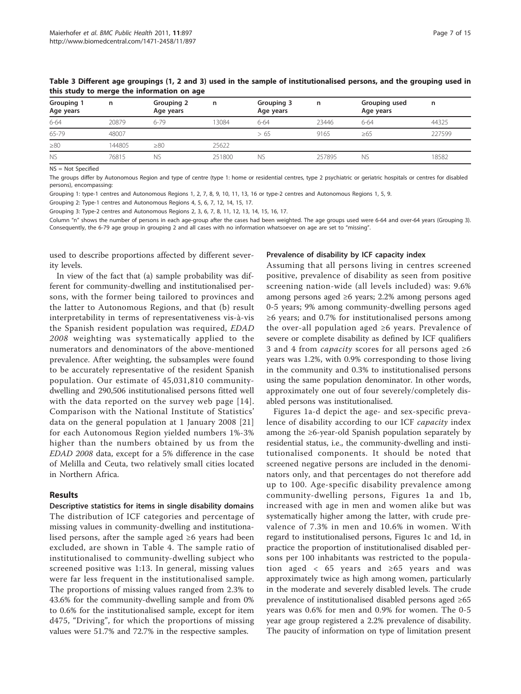| Grouping 1<br>Age years | n      | Grouping 2<br>Age years | n      | Grouping 3<br>Age years | n      | Grouping used<br>Age years | n      |
|-------------------------|--------|-------------------------|--------|-------------------------|--------|----------------------------|--------|
| 6-64                    | 20879  | 6-79                    | 3084   | $6 - 64$                | 23446  | 6-64                       | 44325  |
| 65-79                   | 48007  |                         |        | >65                     | 9165   | $\geq 65$                  | 227599 |
| $\geq 80$               | 144805 | $\geq 80$               | 25622  |                         |        |                            |        |
| <b>NS</b>               | 76815  | <b>NS</b>               | 251800 | N <sub>S</sub>          | 257895 | <b>NS</b>                  | 18582  |

<span id="page-6-0"></span>Table 3 Different age groupings (1, 2 and 3) used in the sample of institutionalised persons, and the grouping used in this study to merge the information on age

NS = Not Specified

The groups differ by Autonomous Region and type of centre (type 1: home or residential centres, type 2 psychiatric or geriatric hospitals or centres for disabled persons), encompassing:

Grouping 1: type-1 centres and Autonomous Regions 1, 2, 7, 8, 9, 10, 11, 13, 16 or type-2 centres and Autonomous Regions 1, 5, 9.

Grouping 2: Type-1 centres and Autonomous Regions 4, 5, 6, 7, 12, 14, 15, 17.

Grouping 3: Type-2 centres and Autonomous Regions 2, 3, 6, 7, 8, 11, 12, 13, 14, 15, 16, 17.

Column "n" shows the number of persons in each age-group after the cases had been weighted. The age groups used were 6-64 and over-64 years (Grouping 3). Consequently, the 6-79 age group in grouping 2 and all cases with no information whatsoever on age are set to "missing".

used to describe proportions affected by different severity levels.

In view of the fact that (a) sample probability was different for community-dwelling and institutionalised persons, with the former being tailored to provinces and the latter to Autonomous Regions, and that (b) result interpretability in terms of representativeness vis-à-vis the Spanish resident population was required, EDAD 2008 weighting was systematically applied to the numerators and denominators of the above-mentioned prevalence. After weighting, the subsamples were found to be accurately representative of the resident Spanish population. Our estimate of 45,031,810 communitydwelling and 290,506 institutionalised persons fitted well with the data reported on the survey web page [[14\]](#page-13-0). Comparison with the National Institute of Statistics' data on the general population at 1 January 2008 [[21](#page-14-0)] for each Autonomous Region yielded numbers 1%-3% higher than the numbers obtained by us from the EDAD 2008 data, except for a 5% difference in the case of Melilla and Ceuta, two relatively small cities located in Northern Africa.

#### Results

Descriptive statistics for items in single disability domains The distribution of ICF categories and percentage of missing values in community-dwelling and institutionalised persons, after the sample aged  $\geq 6$  years had been excluded, are shown in Table [4.](#page-7-0) The sample ratio of institutionalised to community-dwelling subject who screened positive was 1:13. In general, missing values were far less frequent in the institutionalised sample. The proportions of missing values ranged from 2.3% to 43.6% for the community-dwelling sample and from 0% to 0.6% for the institutionalised sample, except for item d475, "Driving", for which the proportions of missing values were 51.7% and 72.7% in the respective samples.

### Prevalence of disability by ICF capacity index

Assuming that all persons living in centres screened positive, prevalence of disability as seen from positive screening nation-wide (all levels included) was: 9.6% among persons aged ≥6 years; 2.2% among persons aged 0-5 years; 9% among community-dwelling persons aged ≥6 years; and 0.7% for institutionalised persons among the over-all population aged ≥6 years. Prevalence of severe or complete disability as defined by ICF qualifiers 3 and 4 from *capacity* scores for all persons aged ≥6 years was 1.2%, with 0.9% corresponding to those living in the community and 0.3% to institutionalised persons using the same population denominator. In other words, approximately one out of four severely/completely disabled persons was institutionalised.

Figures [1a-d](#page-8-0) depict the age- and sex-specific prevalence of disability according to our ICF capacity index among the ≥6-year-old Spanish population separately by residential status, i.e., the community-dwelling and institutionalised components. It should be noted that screened negative persons are included in the denominators only, and that percentages do not therefore add up to 100. Age-specific disability prevalence among community-dwelling persons, Figures [1a](#page-8-0) and [1b](#page-8-0), increased with age in men and women alike but was systematically higher among the latter, with crude prevalence of 7.3% in men and 10.6% in women. With regard to institutionalised persons, Figures [1c](#page-8-0) and [1d](#page-8-0), in practice the proportion of institutionalised disabled persons per 100 inhabitants was restricted to the population aged < 65 years and ≥65 years and was approximately twice as high among women, particularly in the moderate and severely disabled levels. The crude prevalence of institutionalised disabled persons aged ≥65 years was 0.6% for men and 0.9% for women. The 0-5 year age group registered a 2.2% prevalence of disability. The paucity of information on type of limitation present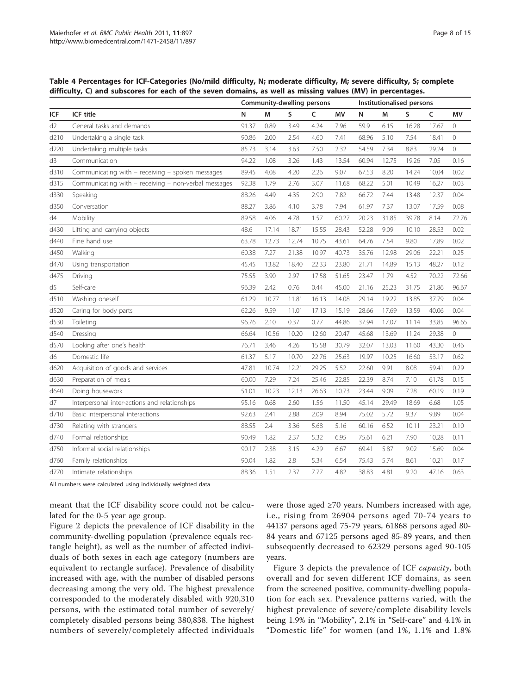<span id="page-7-0"></span>Table 4 Percentages for ICF-Categories (No/mild difficulty, N; moderate difficulty, M; severe difficulty, S; complete difficulty, C) and subscores for each of the seven domains, as well as missing values (MV) in percentages.

|                |                                                      | Community-dwelling persons |       |       |       | Institutionalised persons |       |       |       |       |                     |
|----------------|------------------------------------------------------|----------------------------|-------|-------|-------|---------------------------|-------|-------|-------|-------|---------------------|
| ICF            | ICF title                                            | N                          | М     | S     | C     | MV                        | N     | M     | S     | C     | MV                  |
| d <sub>2</sub> | General tasks and demands                            | 91.37                      | 0.89  | 3.49  | 4.24  | 7.96                      | 59.9  | 6.15  | 16.28 | 17.67 | $\circ$             |
| d210           | Undertaking a single task                            | 90.86                      | 2.00  | 2.54  | 4.60  | 7.41                      | 68.96 | 5.10  | 7.54  | 18.41 | 0                   |
| d220           | Undertaking multiple tasks                           | 85.73                      | 3.14  | 3.63  | 7.50  | 2.32                      | 54.59 | 7.34  | 8.83  | 29.24 | $\circledcirc$      |
| d3             | Communication                                        | 94.22                      | 1.08  | 3.26  | 1.43  | 13.54                     | 60.94 | 12.75 | 19.26 | 7.05  | 0.16                |
| d310           | Communicating with - receiving - spoken messages     | 89.45                      | 4.08  | 4.20  | 2.26  | 9.07                      | 67.53 | 8.20  | 14.24 | 10.04 | 0.02                |
| d315           | Communicating with - receiving - non-verbal messages | 92.38                      | 1.79  | 2.76  | 3.07  | 11.68                     | 68.22 | 5.01  | 10.49 | 16.27 | 0.03                |
| d330           | Speaking                                             | 88.26                      | 4.49  | 4.35  | 2.90  | 7.82                      | 66.72 | 7.44  | 13.48 | 12.37 | 0.04                |
| d350           | Conversation                                         | 88.27                      | 3.86  | 4.10  | 3.78  | 7.94                      | 61.97 | 7.37  | 13.07 | 17.59 | 0.08                |
| d4             | Mobility                                             | 89.58                      | 4.06  | 4.78  | 1.57  | 60.27                     | 20.23 | 31.85 | 39.78 | 8.14  | 72.76               |
| d430           | Lifting and carrying objects                         | 48.6                       | 17.14 | 18.71 | 15.55 | 28.43                     | 52.28 | 9.09  | 10.10 | 28.53 | 0.02                |
| d440           | Fine hand use                                        | 63.78                      | 12.73 | 12.74 | 10.75 | 43.61                     | 64.76 | 7.54  | 9.80  | 17.89 | 0.02                |
| d450           | Walking                                              | 60.38                      | 7.27  | 21.38 | 10.97 | 40.73                     | 35.76 | 12.98 | 29.06 | 22.21 | 0.25                |
| d470           | Using transportation                                 | 45.45                      | 13.82 | 18.40 | 22.33 | 23.80                     | 21.71 | 14.89 | 15.13 | 48.27 | 0.12                |
| d475           | Driving                                              | 75.55                      | 3.90  | 2.97  | 17.58 | 51.65                     | 23.47 | 1.79  | 4.52  | 70.22 | 72.66               |
| d5             | Self-care                                            | 96.39                      | 2.42  | 0.76  | 0.44  | 45.00                     | 21.16 | 25.23 | 31.75 | 21.86 | 96.67               |
| d510           | Washing oneself                                      | 61.29                      | 10.77 | 11.81 | 16.13 | 14.08                     | 29.14 | 19.22 | 13.85 | 37.79 | 0.04                |
| d520           | Caring for body parts                                | 62.26                      | 9.59  | 11.01 | 17.13 | 15.19                     | 28.66 | 17.69 | 13.59 | 40.06 | 0.04                |
| d530           | Toileting                                            | 96.76                      | 2.10  | 0.37  | 0.77  | 44.86                     | 37.94 | 17.07 | 11.14 | 33.85 | 96.65               |
| d540           | Dressing                                             | 66.64                      | 10.56 | 10.20 | 12.60 | 20.47                     | 45.68 | 13.69 | 11.24 | 29.38 | $\mathsf{O}\xspace$ |
| d570           | Looking after one's health                           | 76.71                      | 3.46  | 4.26  | 15.58 | 30.79                     | 32.07 | 13.03 | 11.60 | 43.30 | 0.46                |
| d6             | Domestic life                                        | 61.37                      | 5.17  | 10.70 | 22.76 | 25.63                     | 19.97 | 10.25 | 16.60 | 53.17 | 0.62                |
| d620           | Acquisition of goods and services                    | 47.81                      | 10.74 | 12.21 | 29.25 | 5.52                      | 22.60 | 9.91  | 8.08  | 59.41 | 0.29                |
| d630           | Preparation of meals                                 | 60.00                      | 7.29  | 7.24  | 25.46 | 22.85                     | 22.39 | 8.74  | 7.10  | 61.78 | 0.15                |
| d640           | Doing housework                                      | 51.01                      | 10.23 | 12.13 | 26.63 | 10.73                     | 23.44 | 9.09  | 7.28  | 60.19 | 0.19                |
| d7             | Interpersonal inter-actions and relationships        | 95.16                      | 0.68  | 2.60  | 1.56  | 11.50                     | 45.14 | 29.49 | 18.69 | 6.68  | 1.05                |
| d710           | Basic interpersonal interactions                     | 92.63                      | 2.41  | 2.88  | 2.09  | 8.94                      | 75.02 | 5.72  | 9.37  | 9.89  | 0.04                |
| d730           | Relating with strangers                              | 88.55                      | 2.4   | 3.36  | 5.68  | 5.16                      | 60.16 | 6.52  | 10.11 | 23.21 | 0.10                |
| d740           | Formal relationships                                 | 90.49                      | 1.82  | 2.37  | 5.32  | 6.95                      | 75.61 | 6.21  | 7.90  | 10.28 | 0.11                |
| d750           | Informal social relationships                        | 90.17                      | 2.38  | 3.15  | 4.29  | 6.67                      | 69.41 | 5.87  | 9.02  | 15.69 | 0.04                |
| d760           | Family relationships                                 | 90.04                      | 1.82  | 2.8   | 5.34  | 6.54                      | 75.43 | 5.74  | 8.61  | 10.21 | 0.17                |
| d770           | Intimate relationships                               | 88.36                      | 1.51  | 2.37  | 7.77  | 4.82                      | 38.83 | 4.81  | 9.20  | 47.16 | 0.63                |

All numbers were calculated using individually weighted data

meant that the ICF disability score could not be calculated for the 0-5 year age group.

Figure [2](#page-9-0) depicts the prevalence of ICF disability in the community-dwelling population (prevalence equals rectangle height), as well as the number of affected individuals of both sexes in each age category (numbers are equivalent to rectangle surface). Prevalence of disability increased with age, with the number of disabled persons decreasing among the very old. The highest prevalence corresponded to the moderately disabled with 920,310 persons, with the estimated total number of severely/ completely disabled persons being 380,838. The highest numbers of severely/completely affected individuals were those aged ≥70 years. Numbers increased with age, i.e., rising from 26904 persons aged 70-74 years to 44137 persons aged 75-79 years, 61868 persons aged 80- 84 years and 67125 persons aged 85-89 years, and then subsequently decreased to 62329 persons aged 90-105 years.

Figure [3](#page-10-0) depicts the prevalence of ICF capacity, both overall and for seven different ICF domains, as seen from the screened positive, community-dwelling population for each sex. Prevalence patterns varied, with the highest prevalence of severe/complete disability levels being 1.9% in "Mobility", 2.1% in "Self-care" and 4.1% in "Domestic life" for women (and 1%, 1.1% and 1.8%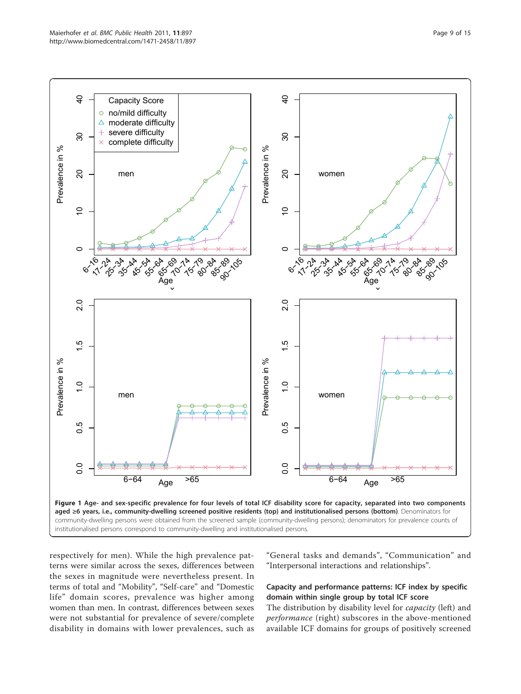<span id="page-8-0"></span>

respectively for men). While the high prevalence patterns were similar across the sexes, differences between the sexes in magnitude were nevertheless present. In terms of total and "Mobility", "Self-care" and "Domestic life" domain scores, prevalence was higher among women than men. In contrast, differences between sexes were not substantial for prevalence of severe/complete disability in domains with lower prevalences, such as

"General tasks and demands", "Communication" and "Interpersonal interactions and relationships".

# Capacity and performance patterns: ICF index by specific domain within single group by total ICF score

The distribution by disability level for *capacity* (left) and performance (right) subscores in the above-mentioned available ICF domains for groups of positively screened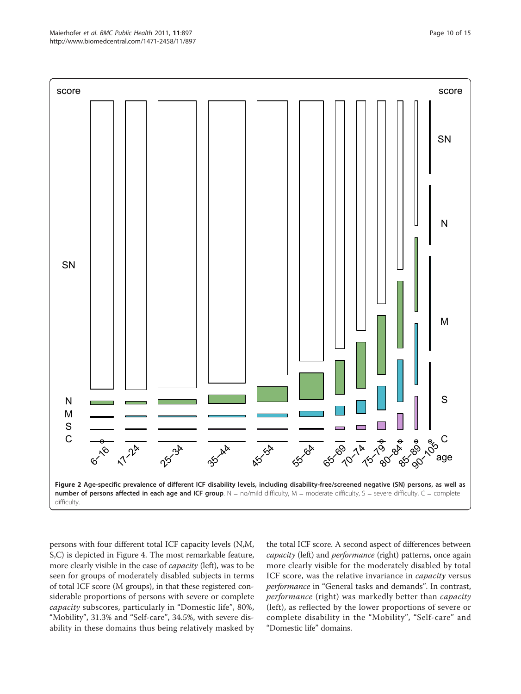<span id="page-9-0"></span>

persons with four different total ICF capacity levels (N,M, S,C) is depicted in Figure [4](#page-11-0). The most remarkable feature, more clearly visible in the case of capacity (left), was to be seen for groups of moderately disabled subjects in terms of total ICF score (M groups), in that these registered considerable proportions of persons with severe or complete capacity subscores, particularly in "Domestic life", 80%, "Mobility", 31.3% and "Self-care", 34.5%, with severe disability in these domains thus being relatively masked by

the total ICF score. A second aspect of differences between capacity (left) and performance (right) patterns, once again more clearly visible for the moderately disabled by total ICF score, was the relative invariance in *capacity* versus performance in "General tasks and demands". In contrast, performance (right) was markedly better than capacity (left), as reflected by the lower proportions of severe or complete disability in the "Mobility", "Self-care" and "Domestic life" domains.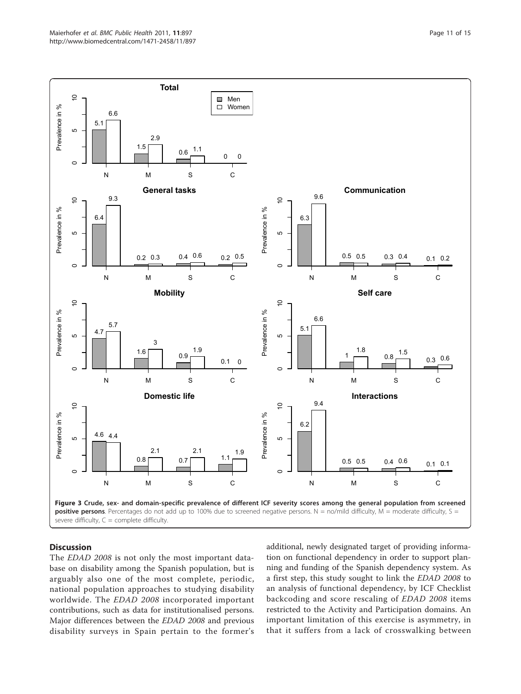<span id="page-10-0"></span>

# **Discussion**

The *EDAD* 2008 is not only the most important database on disability among the Spanish population, but is arguably also one of the most complete, periodic, national population approaches to studying disability worldwide. The EDAD 2008 incorporated important contributions, such as data for institutionalised persons. Major differences between the EDAD 2008 and previous disability surveys in Spain pertain to the former's additional, newly designated target of providing information on functional dependency in order to support planning and funding of the Spanish dependency system. As a first step, this study sought to link the EDAD 2008 to an analysis of functional dependency, by ICF Checklist backcoding and score rescaling of EDAD 2008 items restricted to the Activity and Participation domains. An important limitation of this exercise is asymmetry, in that it suffers from a lack of crosswalking between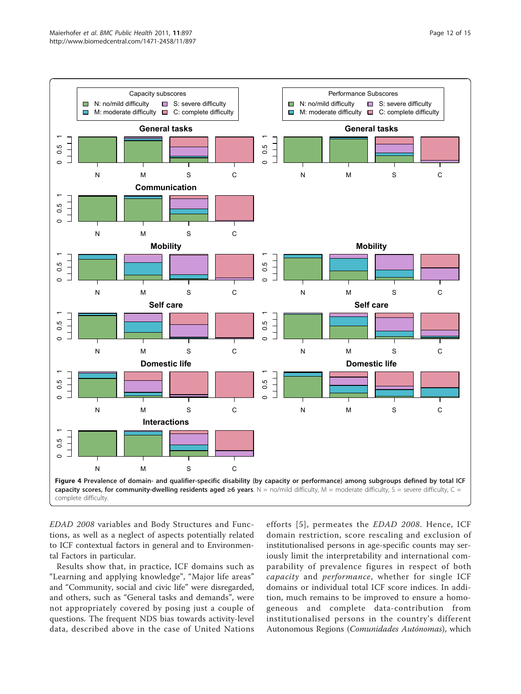<span id="page-11-0"></span>

EDAD 2008 variables and Body Structures and Functions, as well as a neglect of aspects potentially related to ICF contextual factors in general and to Environmental Factors in particular.

Results show that, in practice, ICF domains such as "Learning and applying knowledge", "Major life areas" and "Community, social and civic life" were disregarded, and others, such as "General tasks and demands", were not appropriately covered by posing just a couple of questions. The frequent NDS bias towards activity-level data, described above in the case of United Nations

efforts [[5](#page-13-0)], permeates the EDAD 2008. Hence, ICF domain restriction, score rescaling and exclusion of institutionalised persons in age-specific counts may seriously limit the interpretability and international comparability of prevalence figures in respect of both capacity and performance, whether for single ICF domains or individual total ICF score indices. In addition, much remains to be improved to ensure a homogeneous and complete data-contribution from institutionalised persons in the country's different Autonomous Regions (Comunidades Autónomas), which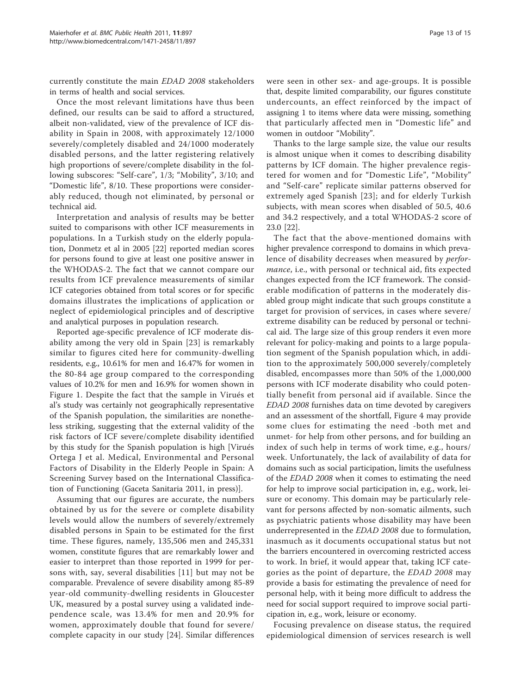currently constitute the main EDAD 2008 stakeholders in terms of health and social services.

Once the most relevant limitations have thus been defined, our results can be said to afford a structured, albeit non-validated, view of the prevalence of ICF disability in Spain in 2008, with approximately 12/1000 severely/completely disabled and 24/1000 moderately disabled persons, and the latter registering relatively high proportions of severe/complete disability in the following subscores: "Self-care", 1/3; "Mobility", 3/10; and "Domestic life", 8/10. These proportions were considerably reduced, though not eliminated, by personal or technical aid.

Interpretation and analysis of results may be better suited to comparisons with other ICF measurements in populations. In a Turkish study on the elderly population, Donmetz et al in 2005 [[22](#page-14-0)] reported median scores for persons found to give at least one positive answer in the WHODAS-2. The fact that we cannot compare our results from ICF prevalence measurements of similar ICF categories obtained from total scores or for specific domains illustrates the implications of application or neglect of epidemiological principles and of descriptive and analytical purposes in population research.

Reported age-specific prevalence of ICF moderate disability among the very old in Spain [[23](#page-14-0)] is remarkably similar to figures cited here for community-dwelling residents, e.g., 10.61% for men and 16.47% for women in the 80-84 age group compared to the corresponding values of 10.2% for men and 16.9% for women shown in Figure [1](#page-8-0). Despite the fact that the sample in Virués et al's study was certainly not geographically representative of the Spanish population, the similarities are nonetheless striking, suggesting that the external validity of the risk factors of ICF severe/complete disability identified by this study for the Spanish population is high [Virués Ortega J et al. Medical, Environmental and Personal Factors of Disability in the Elderly People in Spain: A Screening Survey based on the International Classification of Functioning (Gaceta Sanitaria 2011, in press)].

Assuming that our figures are accurate, the numbers obtained by us for the severe or complete disability levels would allow the numbers of severely/extremely disabled persons in Spain to be estimated for the first time. These figures, namely, 135,506 men and 245,331 women, constitute figures that are remarkably lower and easier to interpret than those reported in 1999 for persons with, say, several disabilities [[11](#page-13-0)] but may not be comparable. Prevalence of severe disability among 85-89 year-old community-dwelling residents in Gloucester UK, measured by a postal survey using a validated independence scale, was 13.4% for men and 20.9% for women, approximately double that found for severe/ complete capacity in our study [[24\]](#page-14-0). Similar differences

were seen in other sex- and age-groups. It is possible that, despite limited comparability, our figures constitute undercounts, an effect reinforced by the impact of assigning 1 to items where data were missing, something that particularly affected men in "Domestic life" and women in outdoor "Mobility".

Thanks to the large sample size, the value our results is almost unique when it comes to describing disability patterns by ICF domain. The higher prevalence registered for women and for "Domestic Life", "Mobility" and "Self-care" replicate similar patterns observed for extremely aged Spanish [[23](#page-14-0)]; and for elderly Turkish subjects, with mean scores when disabled of 50.5, 40.6 and 34.2 respectively, and a total WHODAS-2 score of 23.0 [[22\]](#page-14-0).

The fact that the above-mentioned domains with higher prevalence correspond to domains in which prevalence of disability decreases when measured by performance, i.e., with personal or technical aid, fits expected changes expected from the ICF framework. The considerable modification of patterns in the moderately disabled group might indicate that such groups constitute a target for provision of services, in cases where severe/ extreme disability can be reduced by personal or technical aid. The large size of this group renders it even more relevant for policy-making and points to a large population segment of the Spanish population which, in addition to the approximately 500,000 severely/completely disabled, encompasses more than 50% of the 1,000,000 persons with ICF moderate disability who could potentially benefit from personal aid if available. Since the EDAD 2008 furnishes data on time devoted by caregivers and an assessment of the shortfall, Figure [4](#page-11-0) may provide some clues for estimating the need -both met and unmet- for help from other persons, and for building an index of such help in terms of work time, e.g., hours/ week. Unfortunately, the lack of availability of data for domains such as social participation, limits the usefulness of the EDAD 2008 when it comes to estimating the need for help to improve social participation in, e.g., work, leisure or economy. This domain may be particularly relevant for persons affected by non-somatic ailments, such as psychiatric patients whose disability may have been underrepresented in the EDAD 2008 due to formulation, inasmuch as it documents occupational status but not the barriers encountered in overcoming restricted access to work. In brief, it would appear that, taking ICF categories as the point of departure, the EDAD 2008 may provide a basis for estimating the prevalence of need for personal help, with it being more difficult to address the need for social support required to improve social participation in, e.g., work, leisure or economy.

Focusing prevalence on disease status, the required epidemiological dimension of services research is well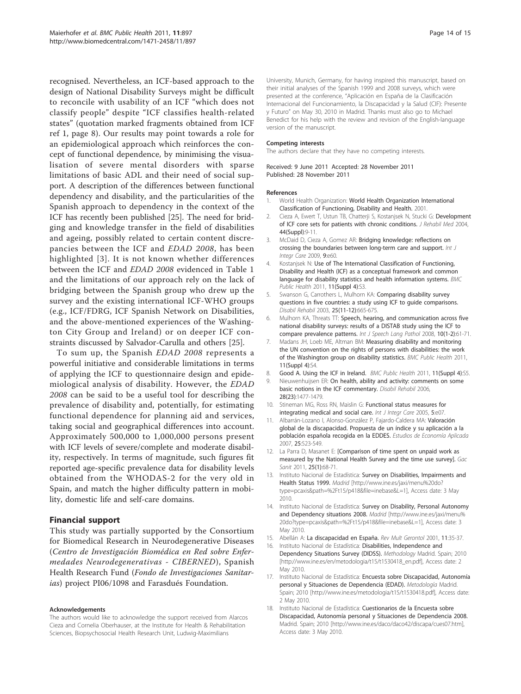<span id="page-13-0"></span>recognised. Nevertheless, an ICF-based approach to the design of National Disability Surveys might be difficult to reconcile with usability of an ICF "which does not classify people" despite "ICF classifies health-related states" (quotation marked fragments obtained from ICF ref 1, page 8). Our results may point towards a role for an epidemiological approach which reinforces the concept of functional dependence, by minimising the visualisation of severe mental disorders with sparse limitations of basic ADL and their need of social support. A description of the differences between functional dependency and disability, and the particularities of the Spanish approach to dependency in the context of the ICF has recently been published [\[25](#page-14-0)]. The need for bridging and knowledge transfer in the field of disabilities and ageing, possibly related to certain content discrepancies between the ICF and EDAD 2008, has been highlighted [3]. It is not known whether differences between the ICF and EDAD 2008 evidenced in Table [1](#page-3-0) and the limitations of our approach rely on the lack of bridging between the Spanish group who drew up the survey and the existing international ICF-WHO groups (e.g., ICF/FDRG, ICF Spanish Network on Disabilities, and the above-mentioned experiences of the Washington City Group and Ireland) or on deeper ICF constraints discussed by Salvador-Carulla and others [[25\]](#page-14-0).

To sum up, the Spanish EDAD 2008 represents a powerful initiative and considerable limitations in terms of applying the ICF to questionnaire design and epidemiological analysis of disability. However, the EDAD 2008 can be said to be a useful tool for describing the prevalence of disability and, potentially, for estimating functional dependence for planning aid and services, taking social and geographical differences into account. Approximately 500,000 to 1,000,000 persons present with ICF levels of severe/complete and moderate disability, respectively. In terms of magnitude, such figures fit reported age-specific prevalence data for disability levels obtained from the WHODAS-2 for the very old in Spain, and match the higher difficulty pattern in mobility, domestic life and self-care domains.

# Financial support

This study was partially supported by the Consortium for Biomedical Research in Neurodegenerative Diseases (Centro de Investigación Biomédica en Red sobre Enfermedades Neurodegenerativas - CIBERNED), Spanish Health Research Fund (Fondo de Investigaciones Sanitarias) project PI06/1098 and Farasdués Foundation.

#### Acknowledgements

The authors would like to acknowledge the support received from Alarcos Cieza and Cornelia Oberhauser, at the Institute for Health & Rehabilitation Sciences, Biopsychosocial Health Research Unit, Ludwig-Maximilians

University, Munich, Germany, for having inspired this manuscript, based on their initial analyses of the Spanish 1999 and 2008 surveys, which were presented at the conference, "Aplicación en España de la Clasificación Internacional del Funcionamiento, la Discapacidad y la Salud (CIF): Presente y Futuro" on May 30, 2010 in Madrid. Thanks must also go to Michael Benedict for his help with the review and revision of the English-language version of the manuscript.

#### Competing interests

The authors declare that they have no competing interests.

Received: 9 June 2011 Accepted: 28 November 2011 Published: 28 November 2011

#### References

- 1. World Health Organization: World Health Organization International Classification of Functioning, Disability and Health. 2001.
- 2. Cieza A, Ewert T, Ustun TB, Chatterji S, Kostanjsek N, Stucki G: [Development](http://www.ncbi.nlm.nih.gov/pubmed/15370742?dopt=Abstract) [of ICF core sets for patients with chronic conditions.](http://www.ncbi.nlm.nih.gov/pubmed/15370742?dopt=Abstract) J Rehabil Med 2004, 44(Suppl):9-11.
- 3. McDaid D, Cieza A, Gomez AR: [Bridging knowledge: reflections on](http://www.ncbi.nlm.nih.gov/pubmed/19590760?dopt=Abstract) [crossing the boundaries between long-term care and support.](http://www.ncbi.nlm.nih.gov/pubmed/19590760?dopt=Abstract) Int J Integr Care 2009, 9:e60.
- Kostanjsek N: [Use of The International Classification of Functioning,](http://www.ncbi.nlm.nih.gov/pubmed/21624189?dopt=Abstract) [Disability and Health \(ICF\) as a conceptual framework and common](http://www.ncbi.nlm.nih.gov/pubmed/21624189?dopt=Abstract) [language for disability statistics and health information systems.](http://www.ncbi.nlm.nih.gov/pubmed/21624189?dopt=Abstract) BMC Public Health 2011, 11(Suppl 4):S3.
- 5. Swanson G, Carrothers L, Mulhorn KA: [Comparing disability survey](http://www.ncbi.nlm.nih.gov/pubmed/12959341?dopt=Abstract) [questions in five countries: a study using ICF to guide comparisons.](http://www.ncbi.nlm.nih.gov/pubmed/12959341?dopt=Abstract) Disabil Rehabil 2003, 25(11-12):665-675.
- Mulhorn KA, Threats TT: Speech, hearing, and communication across five national disability surveys: results of a DISTAB study using the ICF to compare prevalence patterns. Int J Speech Lang Pathol 2008, 10(1-2):61-71.
- 7. Madans JH, Loeb ME, Altman BM: [Measuring disability and monitoring](http://www.ncbi.nlm.nih.gov/pubmed/21624190?dopt=Abstract) [the UN convention on the rights of persons with disabilities: the work](http://www.ncbi.nlm.nih.gov/pubmed/21624190?dopt=Abstract) [of the Washington group on disability statistics.](http://www.ncbi.nlm.nih.gov/pubmed/21624190?dopt=Abstract) BMC Public Health 2011, 11(Suppl 4):S4.
- 8. Good A. Using the ICF in Ireland. BMC Public Health 2011, 11(Suppl 4):S5.
- 9. Nieuwenhuijsen ER: [On health, ability and activity: comments on some](http://www.ncbi.nlm.nih.gov/pubmed/17166813?dopt=Abstract) [basic notions in the ICF commentary.](http://www.ncbi.nlm.nih.gov/pubmed/17166813?dopt=Abstract) Disabil Rehabil 2006, 28(23):1477-1479.
- 10. Stineman MG, Ross RN, Maislin G: [Functional status measures for](http://www.ncbi.nlm.nih.gov/pubmed/16773164?dopt=Abstract) [integrating medical and social care.](http://www.ncbi.nlm.nih.gov/pubmed/16773164?dopt=Abstract) Int J Integr Care 2005, 5:e07
- 11. Albarrán-Lozano I, Alonso-González P, Fajardo-Caldera MA: Valoración global de la discapacidad. Propuesta de un índice y su aplicación a la población española recogida en la EDDES. Estudios de Economía Aplicada 2007, 25:523-549.
- 12. La Parra D, Masanet E: [\[Comparison of time spent on unpaid work as](http://www.ncbi.nlm.nih.gov/pubmed/21334115?dopt=Abstract) [measured by the National Health Survey and the time use survey\].](http://www.ncbi.nlm.nih.gov/pubmed/21334115?dopt=Abstract) Gac Sanit 2011, 25(1):68-71.
- 13. Instituto Nacional de Estadística: Survey on Disabilities, Impairments and Health Status 1999. Madrid [[http://www.ine.es/jaxi/menu%20do?](http://www.ine.es/jaxi/menu%20do?type=pcaxis&path=%2Ft15/p418&file=inebase&L=1) [type=pcaxis&path=%2Ft15/p418&file=inebase&L=1\]](http://www.ine.es/jaxi/menu%20do?type=pcaxis&path=%2Ft15/p418&file=inebase&L=1), Access date: 3 May 2010.
- 14. Instituto Nacional de Estadística: Survey on Disability, Personal Autonomy and Dependency situations 2008. Madrid [[http://www.ine.es/jaxi/menu%](http://www.ine.es/jaxi/menu%20do?type=pcaxis&path=%2Ft15/p418&file=inebase&L=1) [20do?type=pcaxis&path=%2Ft15/p418&file=inebase&L=1\]](http://www.ine.es/jaxi/menu%20do?type=pcaxis&path=%2Ft15/p418&file=inebase&L=1), Access date: 3 May 2010.
- 15. Abellán A: La discapacidad en España. Rev Mult Gerontol 2001, 11:35-37.
- 16. Instituto Nacional de Estadística: Disabilities, Independence and Dependency Situations Survey (DIDSS). Methodology Madrid. Spain; 2010 [[http://www.ine.es/en/metodologia/t15/t1530418\\_en.pdf](http://www.ine.es/en/metodologia/t15/t1530418_en.pdf)], Access date: 2 May 2010.
- 17. Instituto Nacional de Estadística: [Encuesta sobre Discapacidad, Autonomía](http://www.ncbi.nlm.nih.gov/pubmed/11562851?dopt=Abstract) [personal y Situaciones de Dependencia \(EDAD\).](http://www.ncbi.nlm.nih.gov/pubmed/11562851?dopt=Abstract) Metodología Madrid. Spain; 2010 [<http://www.ine.es/metodologia/t15/t1530418.pdf>], Access date: 2 May 2010.
- 18. Instituto Nacional de Estadística: Cuestionarios de la Encuesta sobre Discapacidad, Autonomía personal y Situaciones de Dependencia 2008. Madrid. Spain; 2010 [<http://www.ine.es/daco/daco42/discapa/cues07.htm>], Access date: 3 May 2010.